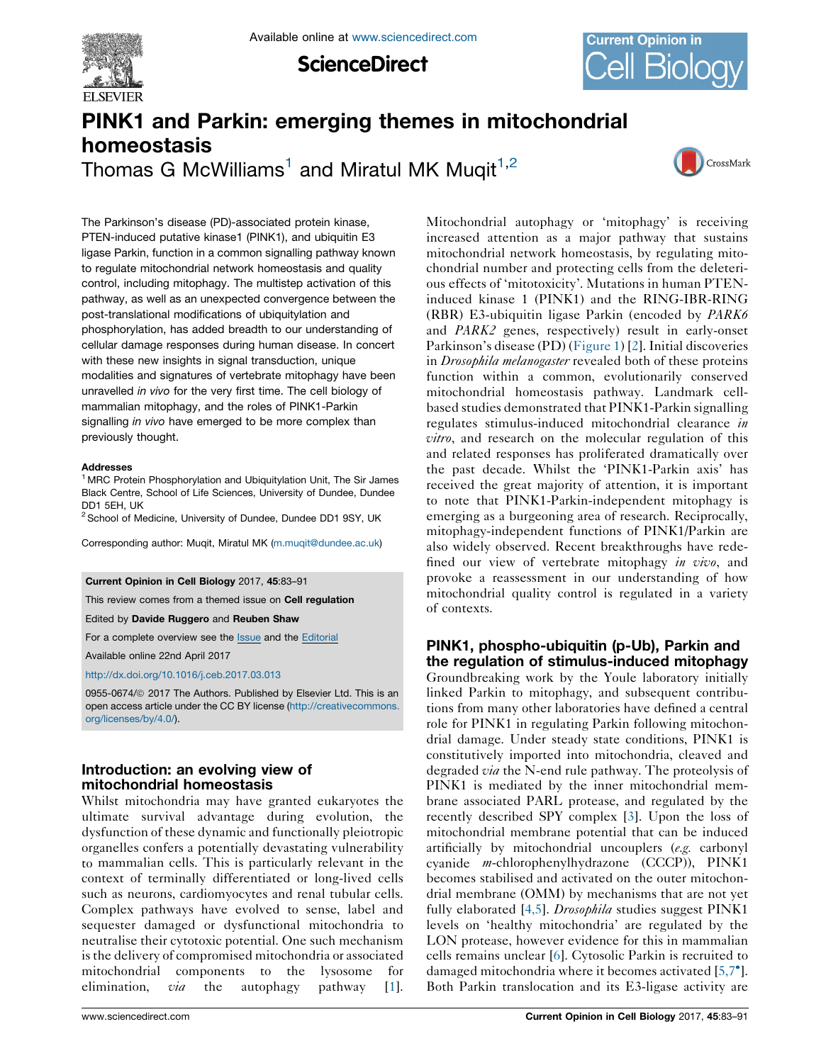

**ScienceDirect** 



# PINK1 and Parkin: emerging themes in mitochondrial homeostasis

Thomas G McWilliams<sup>1</sup> and Miratul MK Muqit<sup>1,2</sup>



The Parkinson's disease (PD)-associated protein kinase, PTEN-induced putative kinase1 (PINK1), and ubiquitin E3 ligase Parkin, function in a common signalling pathway known to regulate mitochondrial network homeostasis and quality control, including mitophagy. The multistep activation of this pathway, as well as an unexpected convergence between the post-translational modifications of ubiquitylation and phosphorylation, has added breadth to our understanding of cellular damage responses during human disease. In concert with these new insights in signal transduction, unique modalities and signatures of vertebrate mitophagy have been unravelled in vivo for the very first time. The cell biology of mammalian mitophagy, and the roles of PINK1-Parkin signalling *in vivo* have emerged to be more complex than previously thought.

### Addresses

<sup>1</sup> MRC Protein Phosphorylation and Ubiquitylation Unit, The Sir James Black Centre, School of Life Sciences, University of Dundee, Dundee DD1 5EH, UK

<sup>2</sup> School of Medicine, University of Dundee, Dundee DD1 9SY, UK

Corresponding author: Muqit, Miratul MK [\(m.muqit@dundee.ac.uk](mailto:m.muqit@dundee.ac.uk))

### Current Opinion in Cell Biology 2017, 45:83–91

This review comes from a themed issue on Cell regulation

Edited by Davide Ruggero and Reuben Shaw

For a complete overview see the [Issue](http://www.sciencedirect.com/science/journal/09550674/45) and the [Editorial](http://dx.doi.org/10.1016/j.ceb.2017.05.008)

Available online 22nd April 2017

### <http://dx.doi.org/10.1016/j.ceb.2017.03.013>

0955-0674/@ 2017 The Authors. Published by Elsevier Ltd. This is an open access article under the CC BY license [\(http://creativecommons.](http://creativecommons.org/licenses/by/4.0/) [org/licenses/by/4.0/](http://creativecommons.org/licenses/by/4.0/)).

# Introduction: an evolving view of mitochondrial homeostasis

Whilst mitochondria may have granted eukaryotes the ultimate survival advantage during evolution, the dysfunction of these dynamic and functionally pleiotropic organelles confers a potentially devastating vulnerability to mammalian cells. This is particularly relevant in the context of terminally differentiated or long-lived cells such as neurons, cardiomyocytes and renal tubular cells. Complex pathways have evolved to sense, label and sequester damaged or dysfunctional mitochondria to neutralise their cytotoxic potential. One such mechanism isthe delivery of compromised mitochondria or associated mitochondrial components to the lysosome for elimination,  $via$  the autophagy pathway [\[1](#page-7-0)].

Mitochondrial autophagy or 'mitophagy' is receiving increased attention as a major pathway that sustains mitochondrial network homeostasis, by regulating mitochondrial number and protecting cells from the deleterious effects of 'mitotoxicity'. Mutations in human PTENinduced kinase 1 (PINK1) and the RING-IBR-RING (RBR) E3-ubiquitin ligase Parkin (encoded by PARK6 and PARK2 genes, respectively) result in early-onset Parkinson's disease (PD) ([Figure](#page-1-0) 1) [[2\]](#page-7-0). Initial discoveries in *Drosophila melanogaster* revealed both of these proteins function within a common, evolutionarily conserved mitochondrial homeostasis pathway. Landmark cellbased studies demonstrated that PINK1-Parkin signalling regulates stimulus-induced mitochondrial clearance in vitro, and research on the molecular regulation of this and related responses has proliferated dramatically over the past decade. Whilst the 'PINK1-Parkin axis' has received the great majority of attention, it is important to note that PINK1-Parkin-independent mitophagy is emerging as a burgeoning area of research. Reciprocally, mitophagy-independent functions of PINK1/Parkin are also widely observed. Recent breakthroughs have redefined our view of vertebrate mitophagy in vivo, and provoke a reassessment in our understanding of how mitochondrial quality control is regulated in a variety of contexts.

# PINK1, phospho-ubiquitin (p-Ub), Parkin and the regulation of stimulus-induced mitophagy

Groundbreaking work by the Youle laboratory initially linked Parkin to mitophagy, and subsequent contributions from many other laboratories have defined a central role for PINK1 in regulating Parkin following mitochondrial damage. Under steady state conditions, PINK1 is constitutively imported into mitochondria, cleaved and degraded *via* the N-end rule pathway. The proteolysis of PINK1 is mediated by the inner mitochondrial membrane associated PARL protease, and regulated by the recently described SPY complex [\[3](#page-7-0)]. Upon the loss of mitochondrial membrane potential that can be induced artificially by mitochondrial uncouplers (e.g. carbonyl cyanide m-chlorophenylhydrazone (CCCP)), PINK1 becomes stabilised and activated on the outer mitochondrial membrane (OMM) by mechanisms that are not yet fully elaborated [[4,5](#page-7-0)]. *Drosophila* studies suggest PINK1 levels on 'healthy mitochondria' are regulated by the LON protease, however evidence for this in mammalian cells remains unclear [\[6](#page-7-0)]. Cytosolic Parkin is recruited to damaged mitochondria where it becomes activated [\[5,7](#page-7-0) ]. Both Parkin translocation and its E3-ligase activity are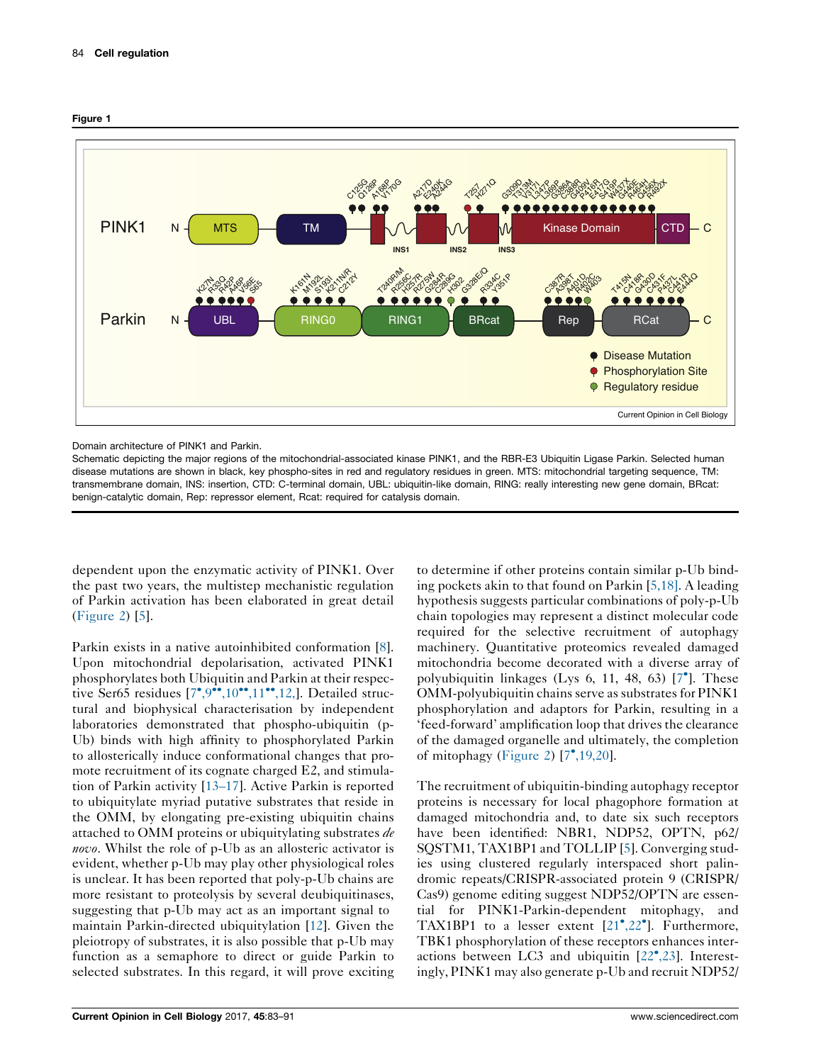<span id="page-1-0"></span>



Domain architecture of PINK1 and Parkin.

Schematic depicting the major regions of the mitochondrial-associated kinase PINK1, and the RBR-E3 Ubiquitin Ligase Parkin. Selected human disease mutations are shown in black, key phospho-sites in red and regulatory residues in green. MTS: mitochondrial targeting sequence, TM: transmembrane domain, INS: insertion, CTD: C-terminal domain, UBL: ubiquitin-like domain, RING: really interesting new gene domain, BRcat: benign-catalytic domain, Rep: repressor element, Rcat: required for catalysis domain.

dependent upon the enzymatic activity of PINK1. Over the past two years, the multistep mechanistic regulation of Parkin activation has been elaborated in great detail [\(Figure](#page-2-0) 2) [[5\]](#page-7-0).

Parkin exists in a native autoinhibited conformation [\[8](#page-7-0)]. Upon mitochondrial depolarisation, activated PINK1 phosphorylates both Ubiquitin and Parkin at their respective Ser65 residues  $[7^{\bullet}, 9^{\bullet \bullet}, 10^{\bullet \bullet}, 11^{\bullet \bullet}, 12]$ . Detailed structural and biophysical characterisation by independent laboratories demonstrated that phospho-ubiquitin (p-Ub) binds with high affinity to phosphorylated Parkin to allosterically induce conformational changes that promote recruitment of its cognate charged E2, and stimulation of Parkin activity [\[13–17](#page-7-0)]. Active Parkin is reported to ubiquitylate myriad putative substrates that reside in the OMM, by elongating pre-existing ubiquitin chains attached to OMM proteins or ubiquitylating substrates *de* novo. Whilst the role of p-Ub as an allosteric activator is evident, whether p-Ub may play other physiological roles is unclear. It has been reported that poly-p-Ub chains are more resistant to proteolysis by several deubiquitinases, suggesting that p-Ub may act as an important signal to maintain Parkin-directed ubiquitylation [\[12](#page-7-0)]. Given the pleiotropy of substrates, it is also possible that p-Ub may function as a semaphore to direct or guide Parkin to selected substrates. In this regard, it will prove exciting to determine if other proteins contain similar p-Ub binding pockets akin to that found on Parkin [[5,18\]](#page-7-0). A leading hypothesis suggests particular combinations of poly-p-Ub chain topologies may represent a distinct molecular code required for the selective recruitment of autophagy machinery. Quantitative proteomics revealed damaged mitochondria become decorated with a diverse array of polyubiquitin linkages (Lys 6, 11, 48, 63) [7 ]. [These](#page-7-0) OMM-polyubiquitin chains serve as substrates for PINK1 phosphorylation and adaptors for Parkin, resulting in a 'feed-forward' amplification loop that drives the clearance of the damaged organelle and ultimately, the completion of mitophagy [\(Figure](#page-2-0) 2) [7 [,19,20\]](#page-7-0).

The recruitment of ubiquitin-binding autophagy receptor proteins is necessary for local phagophore formation at damaged mitochondria and, to date six such receptors have been identified: NBR1, NDP52, OPTN, p62/ SQSTM1, TAX1BP1 and TOLLIP [[5\]](#page-7-0). Converging studies using clustered regularly interspaced short palindromic repeats/CRISPR-associated protein 9 (CRISPR/ Cas9) genome editing suggest NDP52/OPTN are essential for PINK1-Parkin-dependent mitophagy, and TAX1BP1 to a lesser extent  $[21^{\bullet}, 22^{\bullet}]$ . [Furthermore,](#page-7-0) TBK1 phosphorylation of these receptors enhances interactions between LC3 and ubiquitin [22 [,23](#page-7-0)]. Interestingly, PINK1 may also generate p-Ub and recruit NDP52/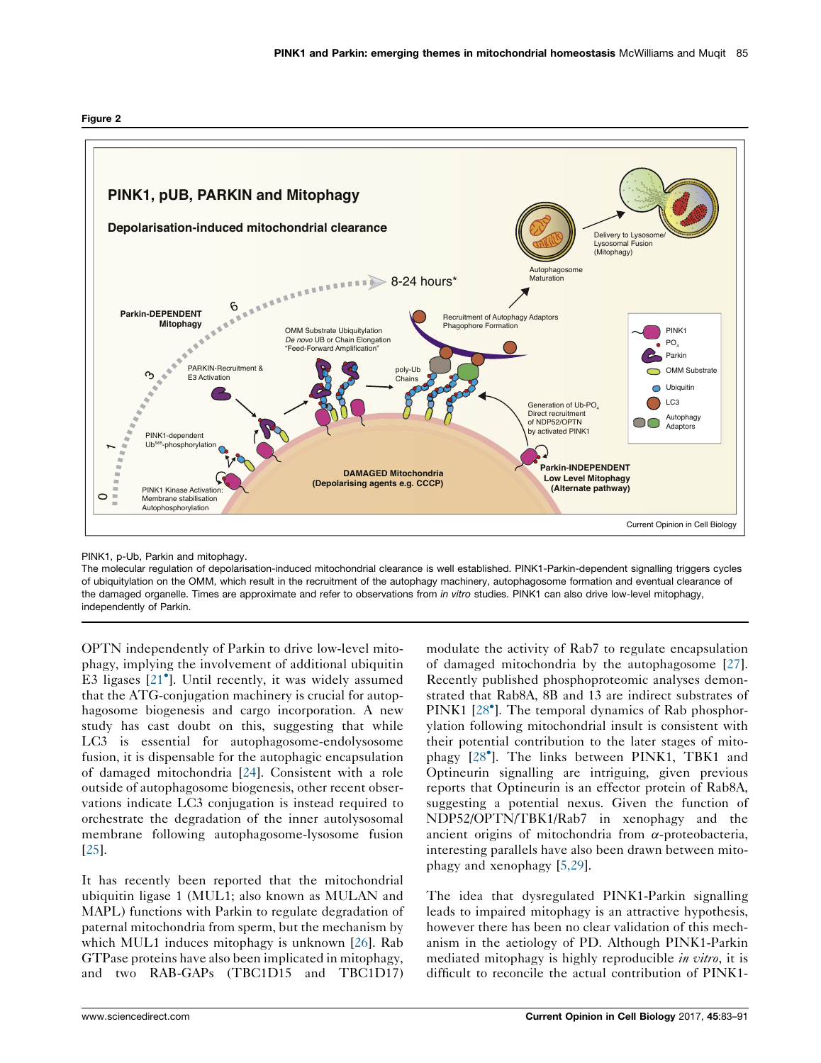<span id="page-2-0"></span>



PINK1, p-Ub, Parkin and mitophagy.

The molecular regulation of depolarisation-induced mitochondrial clearance is well established. PINK1-Parkin-dependent signalling triggers cycles of ubiquitylation on the OMM, which result in the recruitment of the autophagy machinery, autophagosome formation and eventual clearance of the damaged organelle. Times are approximate and refer to observations from in vitro studies. PINK1 can also drive low-level mitophagy, independently of Parkin.

OPTN independently of Parkin to drive low-level mitophagy, implying the involvement of additional ubiquitin E3 ligases [21 ]. Until [recently,](#page-7-0) it was widely assumed that the ATG-conjugation machinery is crucial for autophagosome biogenesis and cargo incorporation. A new study has cast doubt on this, suggesting that while LC3 is essential for autophagosome-endolysosome fusion, it is dispensable for the autophagic encapsulation of damaged mitochondria [\[24](#page-7-0)]. Consistent with a role outside of autophagosome biogenesis, other recent observations indicate LC3 conjugation is instead required to orchestrate the degradation of the inner autolysosomal membrane following autophagosome-lysosome fusion [\[25](#page-7-0)].

It has recently been reported that the mitochondrial ubiquitin ligase 1 (MUL1; also known as MULAN and MAPL) functions with Parkin to regulate degradation of paternal mitochondria from sperm, but the mechanism by which MUL1 induces mitophagy is unknown [[26\]](#page-7-0). Rab GTPase proteins have also been implicated in mitophagy, and two RAB-GAPs (TBC1D15 and TBC1D17)

modulate the activity of Rab7 to regulate encapsulation of damaged mitochondria by the autophagosome [[27\]](#page-7-0). Recently published phosphoproteomic analyses demonstrated that Rab8A, 8B and 13 are indirect substrates of PINK1 [28<sup>°</sup>]. The temporal dynamics of Rab [phosphor](#page-7-0)ylation following mitochondrial insult is consistent with their potential contribution to the later stages of mitophagy [28 ]. The links [between](#page-7-0) PINK1, TBK1 and Optineurin signalling are intriguing, given previous reports that Optineurin is an effector protein of Rab8A, suggesting a potential nexus. Given the function of NDP52/OPTN/TBK1/Rab7 in xenophagy and the ancient origins of mitochondria from  $\alpha$ -proteobacteria, interesting parallels have also been drawn between mitophagy and xenophagy [\[5,29\]](#page-7-0).

The idea that dysregulated PINK1-Parkin signalling leads to impaired mitophagy is an attractive hypothesis, however there has been no clear validation of this mechanism in the aetiology of PD. Although PINK1-Parkin mediated mitophagy is highly reproducible in vitro, it is difficult to reconcile the actual contribution of PINK1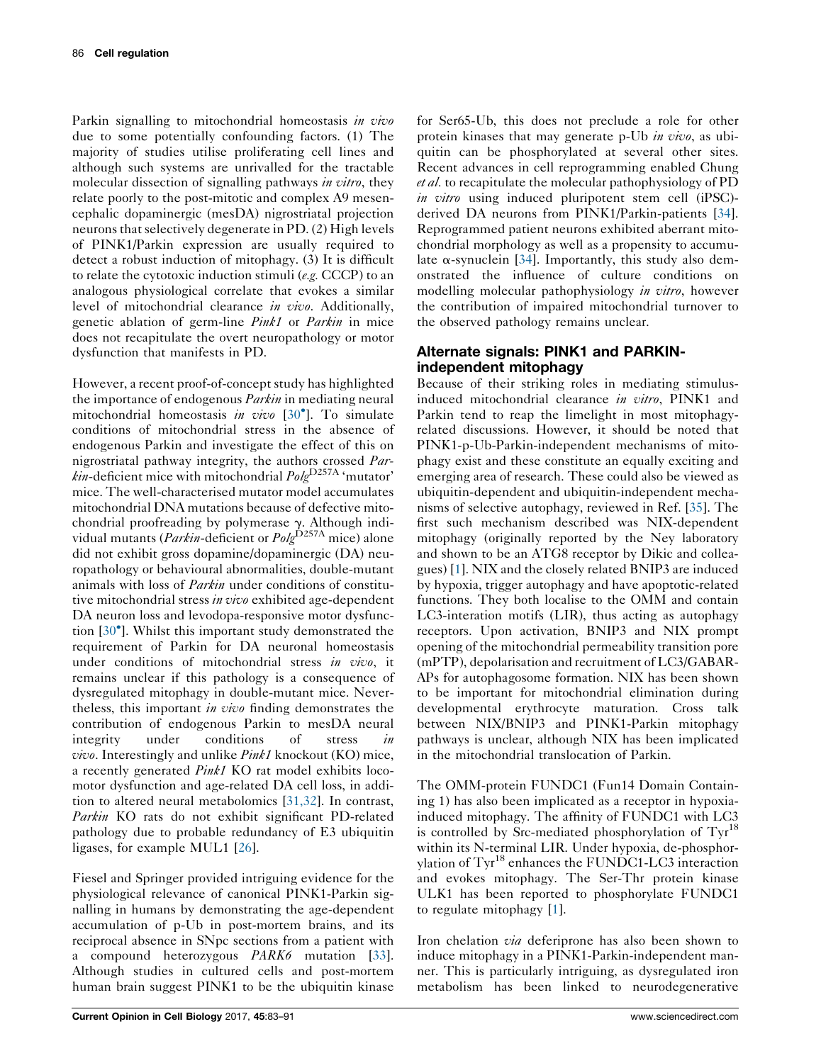Parkin signalling to mitochondrial homeostasis in vivo due to some potentially confounding factors. (1) The majority of studies utilise proliferating cell lines and although such systems are unrivalled for the tractable molecular dissection of signalling pathways in vitro, they relate poorly to the post-mitotic and complex A9 mesencephalic dopaminergic (mesDA) nigrostriatal projection neurons that selectively degenerate in PD. (2) High levels of PINK1/Parkin expression are usually required to detect a robust induction of mitophagy. (3) It is difficult to relate the cytotoxic induction stimuli (e.g. CCCP) to an analogous physiological correlate that evokes a similar level of mitochondrial clearance in vivo. Additionally, genetic ablation of germ-line Pink1 or Parkin in mice does not recapitulate the overt neuropathology or motor dysfunction that manifests in PD.

However, a recent proof-of-concept study has highlighted the importance of endogenous *Parkin* in mediating neural mitochondrial homeostasis in vivo [30<sup>°</sup>]. To [simulate](#page-7-0) conditions of mitochondrial stress in the absence of endogenous Parkin and investigate the effect of this on nigrostriatal pathway integrity, the authors crossed Par $kin$ -deficient mice with mitochondrial  $Pole<sup>D257A</sup>$  'mutator' mice. The well-characterised mutator model accumulates mitochondrial DNA mutations because of defective mitochondrial proofreading by polymerase γ. Although indi-<br>vidual mutants (*Parkin*-deficient or *Polg*<sup>D257A</sup> mice) alone did not exhibit gross dopamine/dopaminergic (DA) neuropathology or behavioural abnormalities, double-mutant animals with loss of Parkin under conditions of constitutive mitochondrial stress in vivo exhibited age-dependent DA neuron loss and levodopa-responsive motor dysfunction [30 ]. Whilst this important study [demonstrated](#page-7-0) the requirement of Parkin for DA neuronal homeostasis under conditions of mitochondrial stress in vivo, it remains unclear if this pathology is a consequence of dysregulated mitophagy in double-mutant mice. Nevertheless, this important in vivo finding demonstrates the contribution of endogenous Parkin to mesDA neural integrity under conditions of stress in vivo. Interestingly and unlike Pink1 knockout (KO) mice, a recently generated Pink1 KO rat model exhibits locomotor dysfunction and age-related DA cell loss, in addition to altered neural metabolomics [[31,32](#page-7-0)]. In contrast, Parkin KO rats do not exhibit significant PD-related pathology due to probable redundancy of E3 ubiquitin ligases, for example MUL1 [[26\]](#page-7-0).

Fiesel and Springer provided intriguing evidence for the physiological relevance of canonical PINK1-Parkin signalling in humans by demonstrating the age-dependent accumulation of p-Ub in post-mortem brains, and its reciprocal absence in SNpc sections from a patient with a compound heterozygous PARK6 mutation [\[33](#page-8-0)]. Although studies in cultured cells and post-mortem human brain suggest PINK1 to be the ubiquitin kinase

for Ser65-Ub, this does not preclude a role for other protein kinases that may generate p-Ub in vivo, as ubiquitin can be phosphorylated at several other sites. Recent advances in cell reprogramming enabled Chung et al. to recapitulate the molecular pathophysiology of PD in vitro using induced pluripotent stem cell (iPSC)derived DA neurons from PINK1/Parkin-patients [[34](#page-8-0)]. Reprogrammed patient neurons exhibited aberrant mitochondrial morphology as well as a propensity to accumulate  $\alpha$ -synuclein [\[34](#page-8-0)]. Importantly, this study also demonstrated the influence of culture conditions on modelling molecular pathophysiology in vitro, however the contribution of impaired mitochondrial turnover to the observed pathology remains unclear.

## Alternate signals: PINK1 and PARKINindependent mitophagy

Because of their striking roles in mediating stimulusinduced mitochondrial clearance in vitro, PINK1 and Parkin tend to reap the limelight in most mitophagyrelated discussions. However, it should be noted that PINK1-p-Ub-Parkin-independent mechanisms of mitophagy exist and these constitute an equally exciting and emerging area of research. These could also be viewed as ubiquitin-dependent and ubiquitin-independent mechanisms of selective autophagy, reviewed in Ref. [[35\]](#page-8-0). The first such mechanism described was NIX-dependent mitophagy (originally reported by the Ney laboratory and shown to be an ATG8 receptor by Dikic and colleagues) [\[1](#page-7-0)]. NIX and the closely related BNIP3 are induced by hypoxia, trigger autophagy and have apoptotic-related functions. They both localise to the OMM and contain LC3-interation motifs (LIR), thus acting as autophagy receptors. Upon activation, BNIP3 and NIX prompt opening of the mitochondrial permeability transition pore (mPTP), depolarisation and recruitment of LC3/GABAR-APs for autophagosome formation. NIX has been shown to be important for mitochondrial elimination during developmental erythrocyte maturation. Cross talk between NIX/BNIP3 and PINK1-Parkin mitophagy pathways is unclear, although NIX has been implicated in the mitochondrial translocation of Parkin.

The OMM-protein FUNDC1 (Fun14 Domain Containing 1) has also been implicated as a receptor in hypoxiainduced mitophagy. The affinity of FUNDC1 with LC3 is controlled by Src-mediated phosphorylation of  $\text{Tr}^{18}$ within its N-terminal LIR. Under hypoxia, de-phosphorylation of Tyr<sup>18</sup> enhances the FUNDC1-LC3 interaction and evokes mitophagy. The Ser-Thr protein kinase ULK1 has been reported to phosphorylate FUNDC1 to regulate mitophagy [\[1](#page-7-0)].

Iron chelation *via* deferiprone has also been shown to induce mitophagy in a PINK1-Parkin-independent manner. This is particularly intriguing, as dysregulated iron metabolism has been linked to neurodegenerative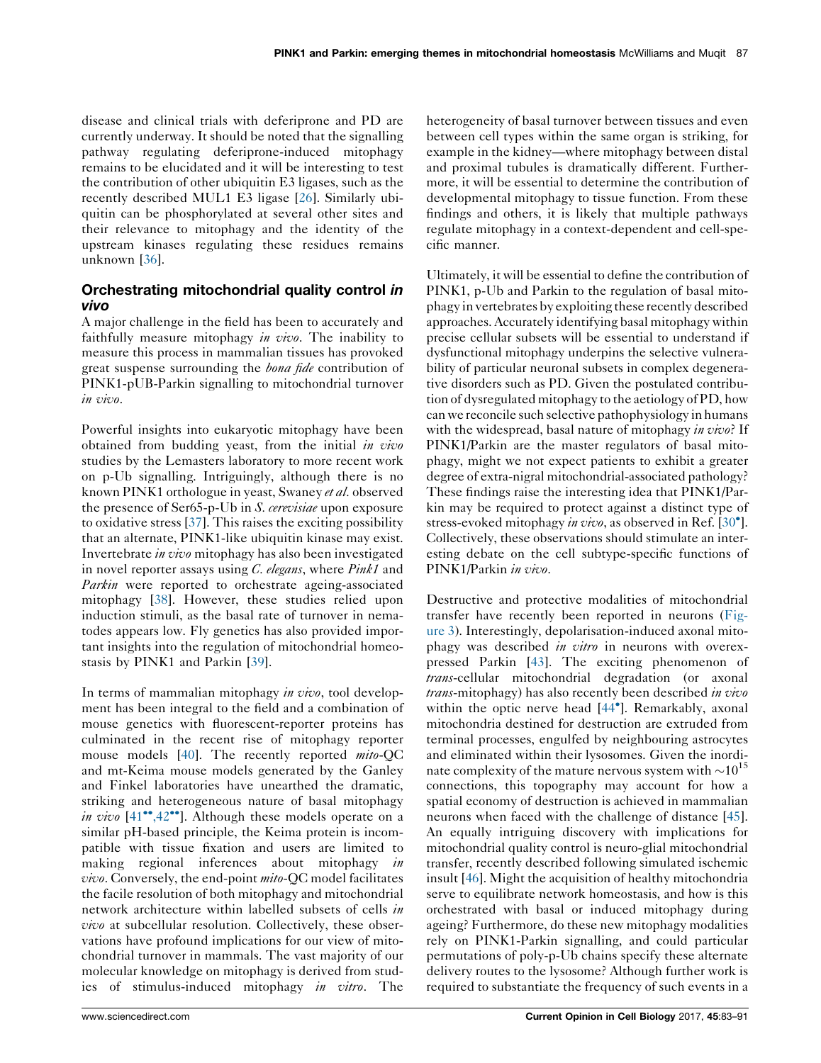disease and clinical trials with deferiprone and PD are currently underway. It should be noted that the signalling pathway regulating deferiprone-induced mitophagy remains to be elucidated and it will be interesting to test the contribution of other ubiquitin E3 ligases, such as the recently described MUL1 E3 ligase [\[26](#page-7-0)]. Similarly ubiquitin can be phosphorylated at several other sites and their relevance to mitophagy and the identity of the upstream kinases regulating these residues remains unknown [\[36](#page-8-0)].

# Orchestrating mitochondrial quality control *in*<br>vivo

A major challenge in the field has been to accurately and faithfully measure mitophagy in vivo. The inability to measure this process in mammalian tissues has provoked great suspense surrounding the *bona fide* contribution of PINK1-pUB-Parkin signalling to mitochondrial turnover in vivo.

Powerful insights into eukaryotic mitophagy have been obtained from budding yeast, from the initial in vivo studies by the Lemasters laboratory to more recent work on p-Ub signalling. Intriguingly, although there is no known PINK1 orthologue in yeast, Swaney et al. observed the presence of Ser65-p-Ub in S. cerevisiae upon exposure to oxidative stress [[37\]](#page-8-0). This raises the exciting possibility that an alternate, PINK1-like ubiquitin kinase may exist. Invertebrate in vivo mitophagy has also been investigated in novel reporter assays using C. elegans, where Pink1 and Parkin were reported to orchestrate ageing-associated mitophagy [\[38](#page-8-0)]. However, these studies relied upon induction stimuli, as the basal rate of turnover in nematodes appears low. Fly genetics has also provided important insights into the regulation of mitochondrial homeostasis by PINK1 and Parkin [\[39](#page-8-0)].

In terms of mammalian mitophagy in vivo, tool development has been integral to the field and a combination of mouse genetics with fluorescent-reporter proteins has culminated in the recent rise of mitophagy reporter mouse models [\[40](#page-8-0)]. The recently reported mito-QC and mt-Keima mouse models generated by the Ganley and Finkel laboratories have unearthed the dramatic, striking and heterogeneous nature of basal mitophagy *in vivo*  $[41^{\bullet\bullet}, 42^{\bullet\bullet}]$ . [Although](#page-8-0) these models operate on a similar pH-based principle, the Keima protein is incompatible with tissue fixation and users are limited to making regional inferences about mitophagy in *vivo*. Conversely, the end-point *mito*-QC model facilitates the facile resolution of both mitophagy and mitochondrial network architecture within labelled subsets of cells in vivo at subcellular resolution. Collectively, these observations have profound implications for our view of mitochondrial turnover in mammals. The vast majority of our molecular knowledge on mitophagy is derived from studies of stimulus-induced mitophagy in vitro. The heterogeneity of basal turnover between tissues and even between cell types within the same organ is striking, for example in the kidney—where mitophagy between distal and proximal tubules is dramatically different. Furthermore, it will be essential to determine the contribution of developmental mitophagy to tissue function. From these findings and others, it is likely that multiple pathways regulate mitophagy in a context-dependent and cell-specific manner.

Ultimately, it will be essential to define the contribution of PINK1, p-Ub and Parkin to the regulation of basal mitophagy in vertebrates by exploiting these recently described approaches.Accurately identifying basal mitophagy within precise cellular subsets will be essential to understand if dysfunctional mitophagy underpins the selective vulnerability of particular neuronal subsets in complex degenerative disorders such as PD. Given the postulated contribution of dysregulated mitophagy to the aetiology of PD, how can we reconcile such selective pathophysiology in humans with the widespread, basal nature of mitophagy in vivo? If PINK1/Parkin are the master regulators of basal mitophagy, might we not expect patients to exhibit a greater degree of extra-nigral mitochondrial-associated pathology? These findings raise the interesting idea that PINK1/Parkin may be required to protect against a distinct type of stress-evoked mitophagy in vivo, as observed in Ref. [\[30](#page-7-0)<sup>°</sup>]. Collectively, these observations should stimulate an interesting debate on the cell subtype-specific functions of PINK1/Parkin in vivo.

Destructive and protective modalities of mitochondrial transfer have recently been reported in neurons ([Fig](#page-5-0)[ure](#page-5-0) 3). Interestingly, depolarisation-induced axonal mitophagy was described *in vitro* in neurons with overexpressed Parkin [\[43](#page-8-0)]. The exciting phenomenon of trans-cellular mitochondrial degradation (or axonal trans-mitophagy) has also recently been described in vivo within the optic nerve head [44 ]. [Remarkably,](#page-8-0) axonal mitochondria destined for destruction are extruded from terminal processes, engulfed by neighbouring astrocytes and eliminated within their lysosomes. Given the inordinate complexity of the mature nervous system with  $\sim 10^{15}$ connections, this topography may account for how a spatial economy of destruction is achieved in mammalian neurons when faced with the challenge of distance [[45\]](#page-8-0). An equally intriguing discovery with implications for mitochondrial quality control is neuro-glial mitochondrial transfer, recently described following simulated ischemic insult [[46\]](#page-8-0). Might the acquisition of healthy mitochondria serve to equilibrate network homeostasis, and how is this orchestrated with basal or induced mitophagy during ageing? Furthermore, do these new mitophagy modalities rely on PINK1-Parkin signalling, and could particular permutations of poly-p-Ub chains specify these alternate delivery routes to the lysosome? Although further work is required to substantiate the frequency of such events in a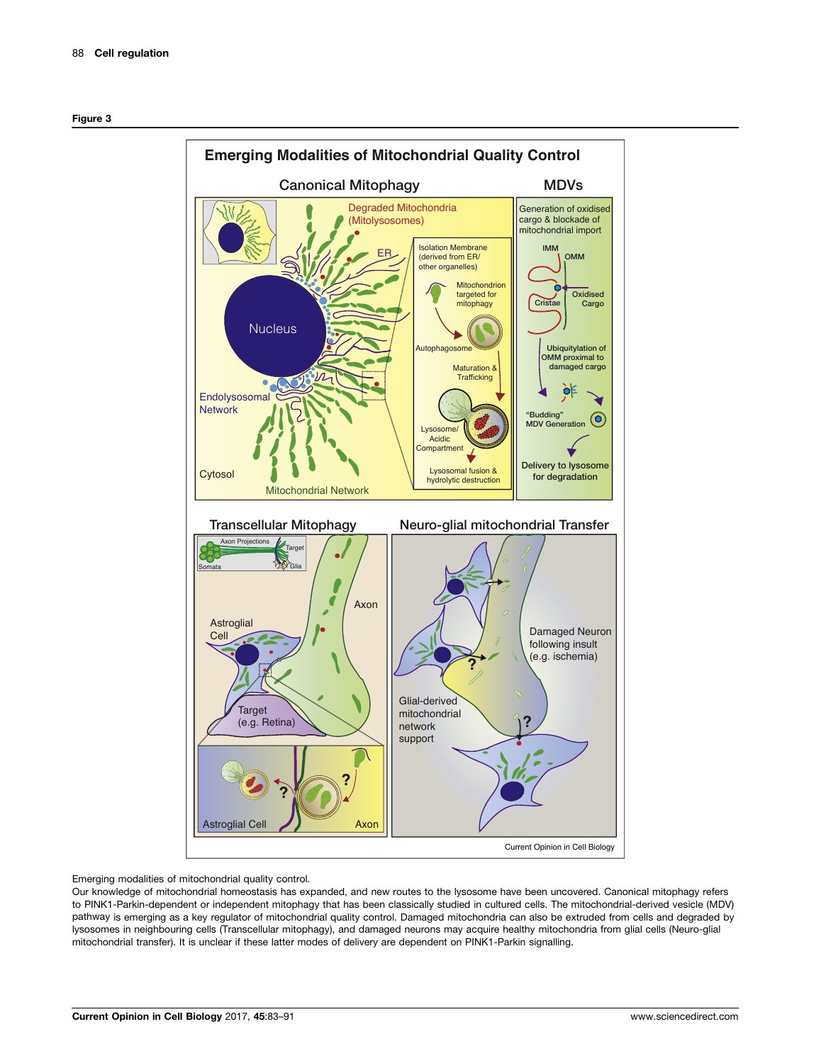<span id="page-5-0"></span>

Emerging modalities of mitochondrial quality control.

Our knowledge of mitochondrial homeostasis has expanded, and new routes to the lysosome have been uncovered. Canonical mitophagy refers to PINK1-Parkin-dependent or independent mitophagy that has been classically studied in cultured cells. The mitochondrial-derived vesicle (MDV) pathway is emerging as a key regulator of mitochondrial quality control. Damaged mitochondria can also be extruded from cells and degraded by lysosomes in neighbouring cells (Transcellular mitophagy), and damaged neurons may acquire healthy mitochondria from glial cells (Neuro-glial mitochondrial transfer). It is unclear if these latter modes of delivery are dependent on PINK1-Parkin signalling.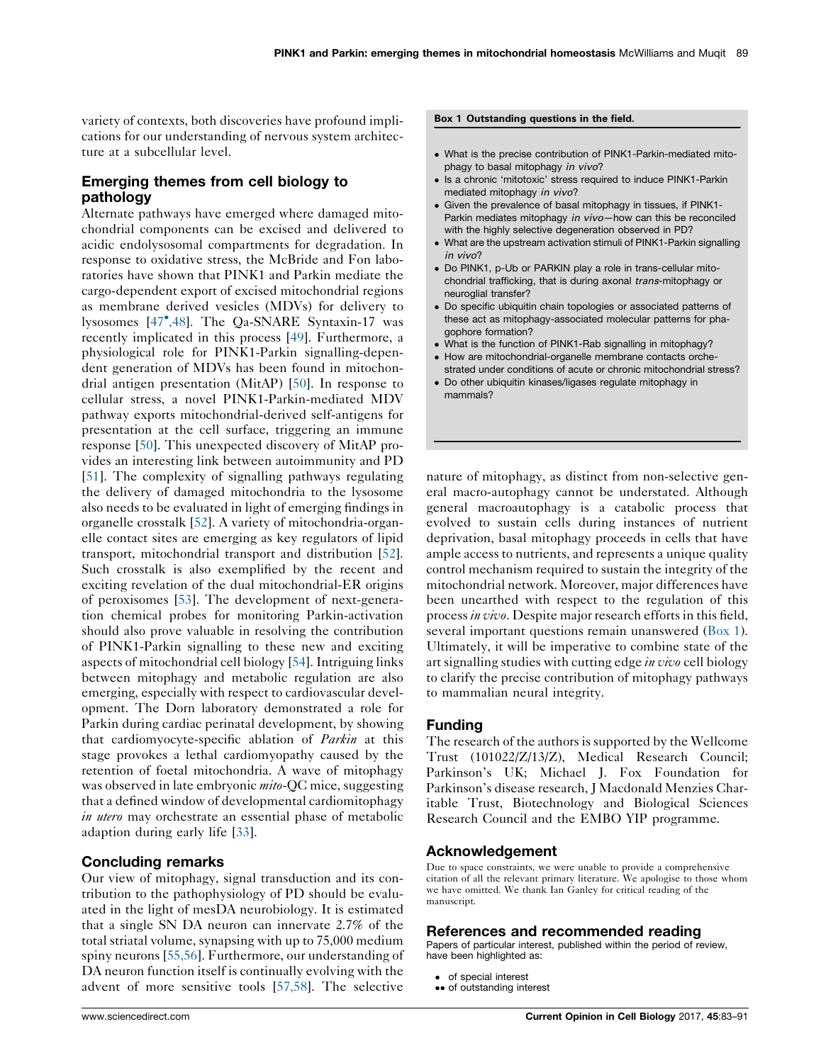variety of contexts, both discoveries have profound implications for our understanding of nervous system architecture at a subcellular level.

## Emerging themes from cell biology to pathology

Alternate pathways have emerged where damaged mitochondrial components can be excised and delivered to acidic endolysosomal compartments for degradation. In response to oxidative stress, the McBride and Fon laboratories have shown that PINK1 and Parkin mediate the cargo-dependent export of excised mitochondrial regions as membrane derived vesicles (MDVs) for delivery to lysosomes [47 [,48\]](#page-8-0). The Qa-SNARE Syntaxin-17 was recently implicated in this process [[49\]](#page-8-0). Furthermore, a physiological role for PINK1-Parkin signalling-dependent generation of MDVs has been found in mitochondrial antigen presentation (MitAP) [[50\]](#page-8-0). In response to cellular stress, a novel PINK1-Parkin-mediated MDV pathway exports mitochondrial-derived self-antigens for presentation at the cell surface, triggering an immune response [\[50](#page-8-0)]. This unexpected discovery of MitAP provides an interesting link between autoimmunity and PD [\[51](#page-8-0)]. The complexity of signalling pathways regulating the delivery of damaged mitochondria to the lysosome also needs to be evaluated in light of emerging findings in organelle crosstalk [[52\]](#page-8-0). A variety of mitochondria-organelle contact sites are emerging as key regulators of lipid transport, mitochondrial transport and distribution [\[52](#page-8-0)]. Such crosstalk is also exemplified by the recent and exciting revelation of the dual mitochondrial-ER origins of peroxisomes [\[53](#page-8-0)]. The development of next-generation chemical probes for monitoring Parkin-activation should also prove valuable in resolving the contribution of PINK1-Parkin signalling to these new and exciting aspects of mitochondrial cell biology [\[54](#page-8-0)]. Intriguing links between mitophagy and metabolic regulation are also emerging, especially with respect to cardiovascular development. The Dorn laboratory demonstrated a role for Parkin during cardiac perinatal development, by showing that cardiomyocyte-specific ablation of *Parkin* at this stage provokes a lethal cardiomyopathy caused by the retention of foetal mitochondria. A wave of mitophagy was observed in late embryonic *mito*-QC mice, suggesting that a defined window of developmental cardiomitophagy in utero may orchestrate an essential phase of metabolic adaption during early life [\[33](#page-8-0)].

### Concluding remarks

Our view of mitophagy, signal transduction and its contribution to the pathophysiology of PD should be evaluated in the light of mesDA neurobiology. It is estimated that a single SN DA neuron can innervate 2.7% of the total striatal volume, synapsing with up to 75,000 medium spiny neurons [[55,56](#page-8-0)]. Furthermore, our understanding of DA neuron function itself is continually evolving with the advent of more sensitive tools [[57,58](#page-8-0)]. The selective

#### Box 1 Outstanding questions in the field.

- What is the precise contribution of PINK1-Parkin-mediated mitophagy to basal mitophagy in vivo?
- Is a chronic 'mitotoxic' stress required to induce PINK1-Parkin mediated mitophagy in vivo?
- Given the prevalence of basal mitophagy in tissues, if PINK1- Parkin mediates mitophagy in vivo—how can this be reconciled with the highly selective degeneration observed in PD?
- What are the upstream activation stimuli of PINK1-Parkin signalling in vivo?
- Do PINK1, p-Ub or PARKIN play a role in trans-cellular mitochondrial trafficking, that is during axonal trans-mitophagy or neuroglial transfer?
- Do specific ubiquitin chain topologies or associated patterns of these act as mitophagy-associated molecular patterns for phagophore formation?
- What is the function of PINK1-Rab signalling in mitophagy?
- How are mitochondrial-organelle membrane contacts orchestrated under conditions of acute or chronic mitochondrial stress?
- Do other ubiquitin kinases/ligases regulate mitophagy in mammals?

nature of mitophagy, as distinct from non-selective general macro-autophagy cannot be understated. Although general macroautophagy is a catabolic process that evolved to sustain cells during instances of nutrient deprivation, basal mitophagy proceeds in cells that have ample access to nutrients, and represents a unique quality control mechanism required to sustain the integrity of the mitochondrial network. Moreover, major differences have been unearthed with respect to the regulation of this process in vivo. Despite major research efforts in this field, several important questions remain unanswered (Box 1). Ultimately, it will be imperative to combine state of the art signalling studies with cutting edge in vivo cell biology to clarify the precise contribution of mitophagy pathways to mammalian neural integrity.

### Funding

The research of the authors is supported by the Wellcome Trust (101022/Z/13/Z), Medical Research Council; Parkinson's UK; Michael J. Fox Foundation for Parkinson's disease research, J Macdonald Menzies Charitable Trust, Biotechnology and Biological Sciences Research Council and the EMBO YIP programme.

### Acknowledgement

Due to space constraints, we were unable to provide a comprehensive citation of all the relevant primary literature. We apologise to those whom we have omitted. We thank Ian Ganley for critical reading of the manuscript.

### References and recommended reading

Papers of particular interest, published within the period of review, have been highlighted as:

- of special interest
- •• of outstanding interest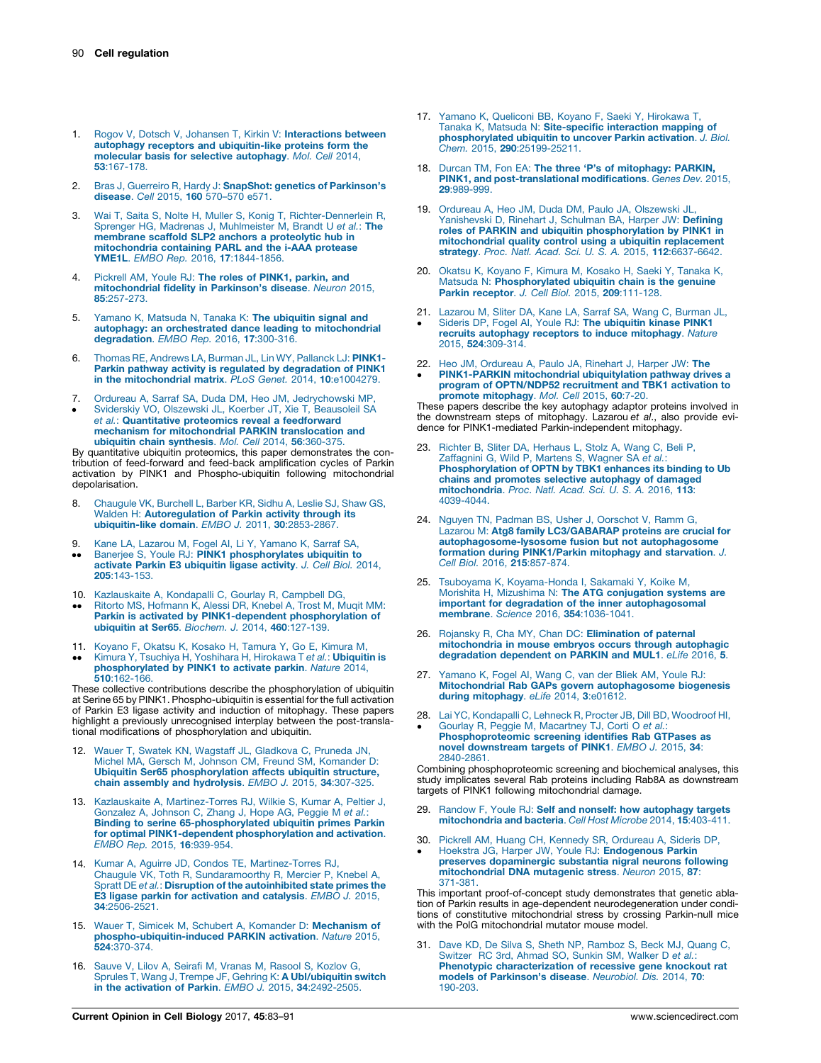- <span id="page-7-0"></span>1. Rogov V, Dotsch V, Johansen T, Kirkin V: [Interactions](http://refhub.elsevier.com/S0955-0674(17)30043-1/sbref0005) between autophagy receptors and [ubiquitin-like](http://refhub.elsevier.com/S0955-0674(17)30043-1/sbref0005) proteins form the molecular basis for selective [autophagy](http://refhub.elsevier.com/S0955-0674(17)30043-1/sbref0005). Mol. Cell 2014, 53[:167-178.](http://refhub.elsevier.com/S0955-0674(17)30043-1/sbref0005)
- 2. Bras J, Guerreiro R, Hardy J: **SnapShot: genetics of [Parkinson's](http://refhub.elsevier.com/S0955-0674(17)30043-1/sbref0010)**<br>**disease**. *Cell 2*015, **160** [570–570](http://refhub.elsevier.com/S0955-0674(17)30043-1/sbref0010) e571.
- 3. Wai T, Saita S, Nolte H, Muller S, Konig T, [Richter-Dennerlein](http://refhub.elsevier.com/S0955-0674(17)30043-1/sbref0015) R, Sprenger HG, Madrenas J, [Muhlmeister](http://refhub.elsevier.com/S0955-0674(17)30043-1/sbref0015) M, Brandt U et al.: The [membrane](http://refhub.elsevier.com/S0955-0674(17)30043-1/sbref0015) scaffold SLP2 anchors a proteolytic hub in [mitochondria](http://refhub.elsevier.com/S0955-0674(17)30043-1/sbref0015) containing PARL and the i-AAA protease YME1L. EMBO Rep. 2016, 17[:1844-1856.](http://refhub.elsevier.com/S0955-0674(17)30043-1/sbref0015)
- 4. [Pickrell](http://refhub.elsevier.com/S0955-0674(17)30043-1/sbref0020) AM, Youle RJ: The roles of PINK1, parkin, and [mitochondrial](http://refhub.elsevier.com/S0955-0674(17)30043-1/sbref0020) fidelity in Parkinson's disease. Neuron 2015, 85[:257-273.](http://refhub.elsevier.com/S0955-0674(17)30043-1/sbref0020)
- 5. Yamano K, Matsuda N, Tanaka K: The [ubiquitin](http://refhub.elsevier.com/S0955-0674(17)30043-1/sbref0025) signal and autophagy: an orchestrated dance leading to [mitochondrial](http://refhub.elsevier.com/S0955-0674(17)30043-1/sbref0025) [degradation](http://refhub.elsevier.com/S0955-0674(17)30043-1/sbref0025). EMBO Rep. 2016, 17:300-316.
- 6. Thomas RE, [Andrews](http://refhub.elsevier.com/S0955-0674(17)30043-1/sbref0030) LA, Burman JL, Lin WY, Pallanck LJ: PINK1 Parkin pathway activity is regulated by [degradation](http://refhub.elsevier.com/S0955-0674(17)30043-1/sbref0030) of PINK1 in the [mitochondrial](http://refhub.elsevier.com/S0955-0674(17)30043-1/sbref0030) matrix. PLoS Genet. 2014, 10:e1004279.
- 7.
- $\bullet$ Ordureau A, Sarraf SA, Duda DM, Heo JM, [Jedrychowski](http://refhub.elsevier.com/S0955-0674(17)30043-1/sbref0035) MP, Sviderskiy VO, Olszewski JL, Koerber JT, Xie T, [Beausoleil](http://refhub.elsevier.com/S0955-0674(17)30043-1/sbref0035) SA et al.: Quantitative proteomics reveal a [feedforward](http://refhub.elsevier.com/S0955-0674(17)30043-1/sbref0035) mechanism for [mitochondrial](http://refhub.elsevier.com/S0955-0674(17)30043-1/sbref0035) PARKIN translocation and<br>ubiquitin chain [synthesis](http://refhub.elsevier.com/S0955-0674(17)30043-1/sbref0035). *Mol. Cell* 2014, 56:360-375.

By quantitative ubiquitin proteomics, this paper demonstrates the contribution of feed-forward and feed-back amplification cycles of Parkin activation by PINK1 and Phospho-ubiquitin following mitochondrial depolarisation.

- 8. [Chaugule](http://refhub.elsevier.com/S0955-0674(17)30043-1/sbref0040) VK, Burchell L, Barber KR, Sidhu A, Leslie SJ, Shaw GS, Walden H: [Autoregulation](http://refhub.elsevier.com/S0955-0674(17)30043-1/sbref0040) of Parkin activity through its [ubiquitin-like](http://refhub.elsevier.com/S0955-0674(17)30043-1/sbref0040) domain. EMBO J. 2011, 30:2853-2867.
- 9.
- $\ddot{\phantom{0}}$ Kane LA, Lazarou M, Fogel AI, Li Y, [Yamano](http://refhub.elsevier.com/S0955-0674(17)30043-1/sbref0045) K, Sarraf SA,<br>Banerjee S, Youle RJ: **PINK1 [phosphorylates](http://refhub.elsevier.com/S0955-0674(17)30043-1/sbref0045) ubiquitin to** activate Parkin E3 [ubiquitin](http://refhub.elsevier.com/S0955-0674(17)30043-1/sbref0045) ligase activity. J. Cell Biol. 2014, 205[:143-153.](http://refhub.elsevier.com/S0955-0674(17)30043-1/sbref0045)
- 10. [Kazlauskaite](http://refhub.elsevier.com/S0955-0674(17)30043-1/sbref0050) A, Kondapalli C, Gourlay R, Campbell DG,
- $\ddot{\phantom{0}}$ Ritorto MS, [Hofmann](http://refhub.elsevier.com/S0955-0674(17)30043-1/sbref0050) K, Alessi DR, Knebel A, Trost M, Muqit MM: Parkin is activated by [PINK1-dependent](http://refhub.elsevier.com/S0955-0674(17)30043-1/sbref0050) phosphorylation of ubiquitin at Ser65. [Biochem.](http://refhub.elsevier.com/S0955-0674(17)30043-1/sbref0050) J. 2014, 460:127-139.
- 11. [Koyano](http://refhub.elsevier.com/S0955-0674(17)30043-1/sbref0055) F, Okatsu K, Kosako H, Tamura Y, Go E, Kimura M,
- $\ddot{\phantom{0}}$ Kimura Y, Tsuchiya H, [Yoshihara](http://refhub.elsevier.com/S0955-0674(17)30043-1/sbref0055) H, Hirokawa T et al.: **Ubiquitin is** [phosphorylated](http://refhub.elsevier.com/S0955-0674(17)30043-1/sbref0055) by PINK1 to activate parkin. Nature 2014, 510[:162-166.](http://refhub.elsevier.com/S0955-0674(17)30043-1/sbref0055)

These collective contributions describe the phosphorylation of ubiquitin at Serine 65 by PINK1. Phospho-ubiquitin is essential for the full activation of Parkin E3 ligase activity and induction of mitophagy. These papers highlight a previously unrecognised interplay between the post-translational modifications of phosphorylation and ubiquitin.

- 12. Wauer T, Swatek KN, Wagstaff JL, [Gladkova](http://refhub.elsevier.com/S0955-0674(17)30043-1/sbref0060) C, Pruneda JN, Michel MA, Gersch M, Johnson CM, Freund SM, [Komander](http://refhub.elsevier.com/S0955-0674(17)30043-1/sbref0060) D: Ubiquitin Ser65 [phosphorylation](http://refhub.elsevier.com/S0955-0674(17)30043-1/sbref0060) affects ubiquitin structure, chain assembly and [hydrolysis](http://refhub.elsevier.com/S0955-0674(17)30043-1/sbref0060). EMBO J. 2015, 34:307-325.
- 13. Kazlauskaite A, [Martinez-Torres](http://refhub.elsevier.com/S0955-0674(17)30043-1/sbref0065) RJ, Wilkie S, Kumar A, Peltier J, [Gonzalez](http://refhub.elsevier.com/S0955-0674(17)30043-1/sbref0065) A, Johnson C, Zhang J, Hope AG, Peggie M et al.: Binding to serine [65-phosphorylated](http://refhub.elsevier.com/S0955-0674(17)30043-1/sbref0065) ubiquitin primes Parkin for optimal [PINK1-dependent](http://refhub.elsevier.com/S0955-0674(17)30043-1/sbref0065) phosphorylation and activation. EMBO Rep. 2015, 16[:939-954.](http://refhub.elsevier.com/S0955-0674(17)30043-1/sbref0065)
- 14. Kumar A, Aguirre JD, Condos TE, [Martinez-Torres](http://refhub.elsevier.com/S0955-0674(17)30043-1/sbref0070) RJ, Chaugule VK, Toth R, [Sundaramoorthy](http://refhub.elsevier.com/S0955-0674(17)30043-1/sbref0070) R, Mercier P, Knebel A, Spratt DE et al.: Disruption of the [autoinhibited](http://refhub.elsevier.com/S0955-0674(17)30043-1/sbref0070) state primes the E3 ligase parkin for [activation](http://refhub.elsevier.com/S0955-0674(17)30043-1/sbref0070) and catalysis. EMBO J. 2015, 34[:2506-2521.](http://refhub.elsevier.com/S0955-0674(17)30043-1/sbref0070)
- 15. Wauer T, Simicek M, Schubert A, Komander D: [Mechanism](http://refhub.elsevier.com/S0955-0674(17)30043-1/sbref0075) of [phospho-ubiquitin-induced](http://refhub.elsevier.com/S0955-0674(17)30043-1/sbref0075) PARKIN activation. Nature 2015, 524[:370-374.](http://refhub.elsevier.com/S0955-0674(17)30043-1/sbref0075)
- 16. Sauve V, Lilov A, Seirafi M, Vranas M, [Rasool](http://refhub.elsevier.com/S0955-0674(17)30043-1/sbref0080) S, Kozlov G, Sprules T, Wang J, Trempe JF, Gehring K: **A [Ubl/ubiquitin](http://refhub.elsevier.com/S0955-0674(17)30043-1/sbref0080) switch**<br>**in the activation of Parkin**. *EMBO J*. 2015, **34**[:2492-2505.](http://refhub.elsevier.com/S0955-0674(17)30043-1/sbref0080)
- 17. Yamano K, Queliconi BB, Koyano F, Saeki Y, [Hirokawa](http://refhub.elsevier.com/S0955-0674(17)30043-1/sbref0085) T, Tanaka K, Matsuda N: [Site-specific](http://refhub.elsevier.com/S0955-0674(17)30043-1/sbref0085) interaction mapping of [phosphorylated](http://refhub.elsevier.com/S0955-0674(17)30043-1/sbref0085) ubiquitin to uncover Parkin activation. J. Biol. Chem. 2015, 290[:25199-25211.](http://refhub.elsevier.com/S0955-0674(17)30043-1/sbref0085)
- 18. Durcan TM, Fon EA: The three 'P's of [mitophagy:](http://refhub.elsevier.com/S0955-0674(17)30043-1/sbref0090) PARKIN, PINK1, and [post-translational](http://refhub.elsevier.com/S0955-0674(17)30043-1/sbref0090) modifications. Genes Dev. 2015, 29[:989-999.](http://refhub.elsevier.com/S0955-0674(17)30043-1/sbref0090)
- 19. Ordureau A, Heo JM, Duda DM, Paulo JA, [Olszewski](http://refhub.elsevier.com/S0955-0674(17)30043-1/sbref0095) JL, [Yanishevski](http://refhub.elsevier.com/S0955-0674(17)30043-1/sbref0095) D, Rinehart J, Schulman BA, Harper JW: Defining roles of PARKIN and ubiquitin [phosphorylation](http://refhub.elsevier.com/S0955-0674(17)30043-1/sbref0095) by PINK1 in [mitochondrial](http://refhub.elsevier.com/S0955-0674(17)30043-1/sbref0095) quality control using a ubiquitin replacement strategy. Proc. Natl. Acad. Sci. U. S. A. 2015, 112[:6637-6642.](http://refhub.elsevier.com/S0955-0674(17)30043-1/sbref0095)
- 20. Okatsu K, [Koyano](http://refhub.elsevier.com/S0955-0674(17)30043-1/sbref0100) F, Kimura M, Kosako H, Saeki Y, Tanaka K,<br>Matsuda N: **[Phosphorylated](http://refhub.elsevier.com/S0955-0674(17)30043-1/sbref0100) ubiquitin chain is the genuine** Parkin receptor. J. Cell Biol. 2015, 209[:111-128.](http://refhub.elsevier.com/S0955-0674(17)30043-1/sbref0100)
- 21.  $\cdot$ Lazarou M, Sliter DA, Kane LA, Sarraf SA, Wang C, [Burman](http://refhub.elsevier.com/S0955-0674(17)30043-1/sbref0105) JL,<br>Sideris DP, Fogel Al, Youle RJ: **The [ubiquitin](http://refhub.elsevier.com/S0955-0674(17)30043-1/sbref0105) kinase PINK1** recruits autophagy receptors to induce [mitophagy](http://refhub.elsevier.com/S0955-0674(17)30043-1/sbref0105). Nature 2015, 524[:309-314.](http://refhub.elsevier.com/S0955-0674(17)30043-1/sbref0105)
- 22. Heo JM, [Ordureau](http://refhub.elsevier.com/S0955-0674(17)30043-1/sbref0110) A, Paulo JA, Rinehart J, Harper JW: The  $\cdot$ [PINK1-PARKIN](http://refhub.elsevier.com/S0955-0674(17)30043-1/sbref0110) mitochondrial ubiquitylation pathway drives a program of [OPTN/NDP52](http://refhub.elsevier.com/S0955-0674(17)30043-1/sbref0110) recruitment and TBK1 activation to promote [mitophagy](http://refhub.elsevier.com/S0955-0674(17)30043-1/sbref0110). Mol. Cell 2015, 60:7-20.

These papers describe the key autophagy adaptor proteins involved in the downstream steps of mitophagy. Lazarou et al., also provide evidence for PINK1-mediated Parkin-independent mitophagy.

- 23. Richter B, Sliter DA, [Herhaus](http://refhub.elsevier.com/S0955-0674(17)30043-1/sbref0115) L, Stolz A, Wang C, Beli P, [Zaffagnini](http://refhub.elsevier.com/S0955-0674(17)30043-1/sbref0115) G, Wild P, Martens S, Wagner SA et al.: [Phosphorylation](http://refhub.elsevier.com/S0955-0674(17)30043-1/sbref0115) of OPTN by TBK1 enhances its binding to Ub chains and promotes selective [autophagy](http://refhub.elsevier.com/S0955-0674(17)30043-1/sbref0115) of damaged [mitochondria](http://refhub.elsevier.com/S0955-0674(17)30043-1/sbref0115). Proc. Natl. Acad. Sci. U. S. A. 2016, 113: [4039-4044.](http://refhub.elsevier.com/S0955-0674(17)30043-1/sbref0115)
- 24. Nguyen TN, Padman BS, Usher J, [Oorschot](http://refhub.elsevier.com/S0955-0674(17)30043-1/sbref0120) V, Ramm G, Lazarou M: Atg8 family [LC3/GABARAP](http://refhub.elsevier.com/S0955-0674(17)30043-1/sbref0120) proteins are crucial for [autophagosome-lysosome](http://refhub.elsevier.com/S0955-0674(17)30043-1/sbref0120) fusion but not autophagosome formation during [PINK1/Parkin](http://refhub.elsevier.com/S0955-0674(17)30043-1/sbref0120) mitophagy and starvation. J. Cell Biol. 2016, 215[:857-874.](http://refhub.elsevier.com/S0955-0674(17)30043-1/sbref0120)
- 25. Tsuboyama K, [Koyama-Honda](http://refhub.elsevier.com/S0955-0674(17)30043-1/sbref0125) I, Sakamaki Y, Koike M,<br>Morishita H, Mizushima N: The ATG [conjugation](http://refhub.elsevier.com/S0955-0674(17)30043-1/sbref0125) systems are important for degradation of the inner [autophagosomal](http://refhub.elsevier.com/S0955-0674(17)30043-1/sbref0125) membrane. Science 2016, 354[:1036-1041.](http://refhub.elsevier.com/S0955-0674(17)30043-1/sbref0125)
- 26. Rojansky R, Cha MY, Chan DC: [Elimination](http://refhub.elsevier.com/S0955-0674(17)30043-1/sbref0130) of paternal [mitochondria](http://refhub.elsevier.com/S0955-0674(17)30043-1/sbref0130) in mouse embryos occurs through autophagic [degradation](http://refhub.elsevier.com/S0955-0674(17)30043-1/sbref0130) dependent on PARKIN and MUL1. eLife 2016, 5.
- 27. [Yamano](http://refhub.elsevier.com/S0955-0674(17)30043-1/sbref0135) K, Fogel AI, Wang C, van der Bliek AM, Youle RJ:<br>**Mitochondrial Rab GAPs govern [autophagosome](http://refhub.elsevier.com/S0955-0674(17)30043-1/sbref0135) biogenesis** during [mitophagy](http://refhub.elsevier.com/S0955-0674(17)30043-1/sbref0135). eLife 2014, 3:e01612.
- 28. Lai YC, [Kondapalli](http://refhub.elsevier.com/S0955-0674(17)30043-1/sbref0140) C, Lehneck R, Procter JB, Dill BD, Woodroof HI, Gourlay R, Peggie M, [Macartney](http://refhub.elsevier.com/S0955-0674(17)30043-1/sbref0140) TJ, Corti O et al.:
	- [Phosphoproteomic](http://refhub.elsevier.com/S0955-0674(17)30043-1/sbref0140) screening identifies Rab GTPases as<br>novel [downstream](http://refhub.elsevier.com/S0955-0674(17)30043-1/sbref0140) targets of PINK1. EMBO J. 2015, 34: [2840-2861.](http://refhub.elsevier.com/S0955-0674(17)30043-1/sbref0140)

 $\cdot$ 

Combining phosphoproteomic screening and biochemical analyses, this study implicates several Rab proteins including Rab8A as downstream targets of PINK1 following mitochondrial damage.

- 29. Randow F, Youle RJ: Self and nonself: how [autophagy](http://refhub.elsevier.com/S0955-0674(17)30043-1/sbref0145) targets [mitochondria](http://refhub.elsevier.com/S0955-0674(17)30043-1/sbref0145) and bacteria. Cell Host Microbe 2014, 15:403-411.
- 30. Pickrell AM, Huang CH, Kennedy SR, [Ordureau](http://refhub.elsevier.com/S0955-0674(17)30043-1/sbref0150) A, Sideris DP,
- $\cdot$ Hoekstra JG, Harper JW, Youle RJ: [Endogenous](http://refhub.elsevier.com/S0955-0674(17)30043-1/sbref0150) Parkin preserves [dopaminergic](http://refhub.elsevier.com/S0955-0674(17)30043-1/sbref0150) substantia nigral neurons following [mitochondrial](http://refhub.elsevier.com/S0955-0674(17)30043-1/sbref0150) DNA mutagenic stress. Neuron 2015, 87: [371-381.](http://refhub.elsevier.com/S0955-0674(17)30043-1/sbref0150)

This important proof-of-concept study demonstrates that genetic ablation of Parkin results in age-dependent neurodegeneration under conditions of constitutive mitochondrial stress by crossing Parkin-null mice with the PolG mitochondrial mutator mouse model.

31. Dave KD, De Silva S, Sheth NP, [Ramboz](http://refhub.elsevier.com/S0955-0674(17)30043-1/sbref0155) S, Beck MJ, Quang C, [Switzer](http://refhub.elsevier.com/S0955-0674(17)30043-1/sbref0155) RC 3rd, Ahmad SO, Sunkin SM, Walker D et al.: Phenotypic [characterization](http://refhub.elsevier.com/S0955-0674(17)30043-1/sbref0155) of recessive gene knockout rat models of [Parkinson's](http://refhub.elsevier.com/S0955-0674(17)30043-1/sbref0155) disease. Neurobiol. Dis. 2014, 70: [190-203.](http://refhub.elsevier.com/S0955-0674(17)30043-1/sbref0155)